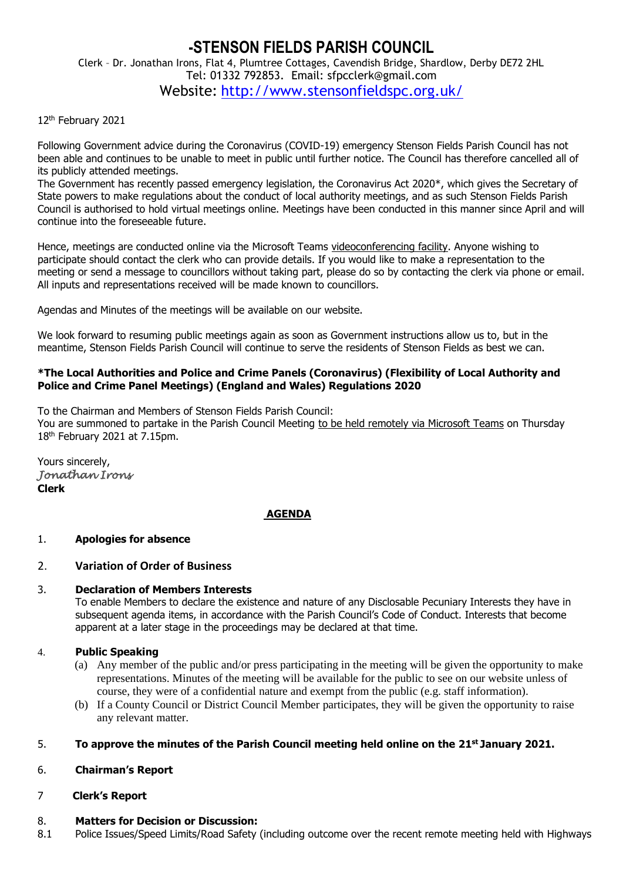# **-STENSON FIELDS PARISH COUNCIL** Clerk – Dr. Jonathan Irons, Flat 4, Plumtree Cottages, Cavendish Bridge, Shardlow, Derby DE72 2HL Tel: 01332 792853. Email: sfpcclerk@gmail.com Website: <http://www.stensonfieldspc.org.uk/>

12th February 2021

Following Government advice during the Coronavirus (COVID-19) emergency Stenson Fields Parish Council has not been able and continues to be unable to meet in public until further notice. The Council has therefore cancelled all of its publicly attended meetings.

The Government has recently passed emergency legislation, the Coronavirus Act 2020\*, which gives the Secretary of State powers to make regulations about the conduct of local authority meetings, and as such Stenson Fields Parish Council is authorised to hold virtual meetings online. Meetings have been conducted in this manner since April and will continue into the foreseeable future.

Hence, meetings are conducted online via the Microsoft Teams videoconferencing facility. Anyone wishing to participate should contact the clerk who can provide details. If you would like to make a representation to the meeting or send a message to councillors without taking part, please do so by contacting the clerk via phone or email. All inputs and representations received will be made known to councillors.

Agendas and Minutes of the meetings will be available on our website.

We look forward to resuming public meetings again as soon as Government instructions allow us to, but in the meantime, Stenson Fields Parish Council will continue to serve the residents of Stenson Fields as best we can.

### **\*The Local Authorities and Police and Crime Panels (Coronavirus) (Flexibility of Local Authority and Police and Crime Panel Meetings) (England and Wales) Regulations 2020**

To the Chairman and Members of Stenson Fields Parish Council:

You are summoned to partake in the Parish Council Meeting to be held remotely via Microsoft Teams on Thursday 18th February 2021 at 7.15pm.

Yours sincerely, *Jonathan Irons*  **Clerk**

# **AGENDA**

# 1. **Apologies for absence**

# 2. **Variation of Order of Business**

### 3. **Declaration of Members Interests**

To enable Members to declare the existence and nature of any Disclosable Pecuniary Interests they have in subsequent agenda items, in accordance with the Parish Council's Code of Conduct. Interests that become apparent at a later stage in the proceedings may be declared at that time.

### 4. **Public Speaking**

- (a) Any member of the public and/or press participating in the meeting will be given the opportunity to make representations. Minutes of the meeting will be available for the public to see on our website unless of course, they were of a confidential nature and exempt from the public (e.g. staff information).
- (b) If a County Council or District Council Member participates, they will be given the opportunity to raise any relevant matter.

# 5. **To approve the minutes of the Parish Council meeting held online on the 21st January 2021.**

### 6. **Chairman's Report**

# 7 **Clerk's Report**

### 8. **Matters for Decision or Discussion:**

8.1 Police Issues/Speed Limits/Road Safety (including outcome over the recent remote meeting held with Highways